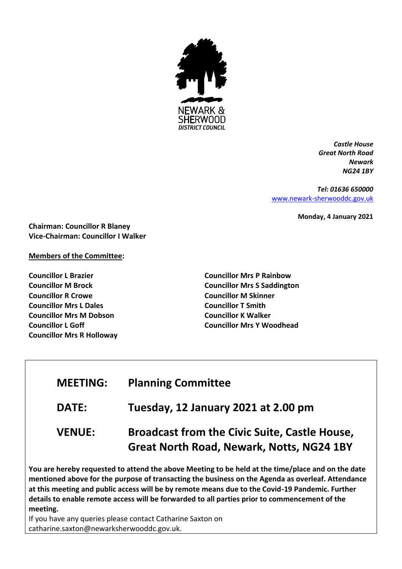

*Castle House Great North Road Newark NG24 1BY*

*Tel: 01636 650000* [www.newark-sherwooddc.gov.uk](http://www.newark-sherwooddc.gov.uk/)

**Monday, 4 January 2021**

**Chairman: Councillor R Blaney Vice-Chairman: Councillor I Walker**

# **Members of the Committee:**

**Councillor L Brazier Councillor M Brock Councillor R Crowe Councillor Mrs L Dales Councillor Mrs M Dobson Councillor L Goff Councillor Mrs R Holloway**

**Councillor Mrs P Rainbow Councillor Mrs S Saddington Councillor M Skinner Councillor T Smith Councillor K Walker Councillor Mrs Y Woodhead**

# **MEETING: Planning Committee**

**DATE: Tuesday, 12 January 2021 at 2.00 pm**

# **VENUE: Broadcast from the Civic Suite, Castle House, Great North Road, Newark, Notts, NG24 1BY**

**You are hereby requested to attend the above Meeting to be held at the time/place and on the date mentioned above for the purpose of transacting the business on the Agenda as overleaf. Attendance at this meeting and public access will be by remote means due to the Covid-19 Pandemic. Further details to enable remote access will be forwarded to all parties prior to commencement of the meeting.** 

If you have any queries please contact Catharine Saxton on catharine.saxton@newarksherwooddc.gov.uk.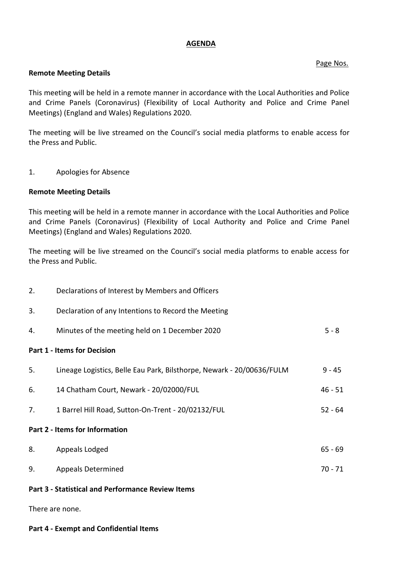#### **AGENDA**

# Page Nos.

## **Remote Meeting Details**

This meeting will be held in a remote manner in accordance with the Local Authorities and Police and Crime Panels (Coronavirus) (Flexibility of Local Authority and Police and Crime Panel Meetings) (England and Wales) Regulations 2020.

The meeting will be live streamed on the Council's social media platforms to enable access for the Press and Public.

1. Apologies for Absence

# **Remote Meeting Details**

This meeting will be held in a remote manner in accordance with the Local Authorities and Police and Crime Panels (Coronavirus) (Flexibility of Local Authority and Police and Crime Panel Meetings) (England and Wales) Regulations 2020.

The meeting will be live streamed on the Council's social media platforms to enable access for the Press and Public.

| 2.                                                       | Declarations of Interest by Members and Officers                      |           |
|----------------------------------------------------------|-----------------------------------------------------------------------|-----------|
| 3.                                                       | Declaration of any Intentions to Record the Meeting                   |           |
| 4.                                                       | Minutes of the meeting held on 1 December 2020                        | $5 - 8$   |
| <b>Part 1 - Items for Decision</b>                       |                                                                       |           |
| 5.                                                       | Lineage Logistics, Belle Eau Park, Bilsthorpe, Newark - 20/00636/FULM | $9 - 45$  |
| 6.                                                       | 14 Chatham Court, Newark - 20/02000/FUL                               | $46 - 51$ |
| 7.                                                       | 1 Barrel Hill Road, Sutton-On-Trent - 20/02132/FUL                    | $52 - 64$ |
| Part 2 - Items for Information                           |                                                                       |           |
| 8.                                                       | Appeals Lodged                                                        | $65 - 69$ |
| 9.                                                       | <b>Appeals Determined</b>                                             | $70 - 71$ |
| <b>Part 3 - Statistical and Performance Review Items</b> |                                                                       |           |

There are none.

#### **Part 4 - Exempt and Confidential Items**